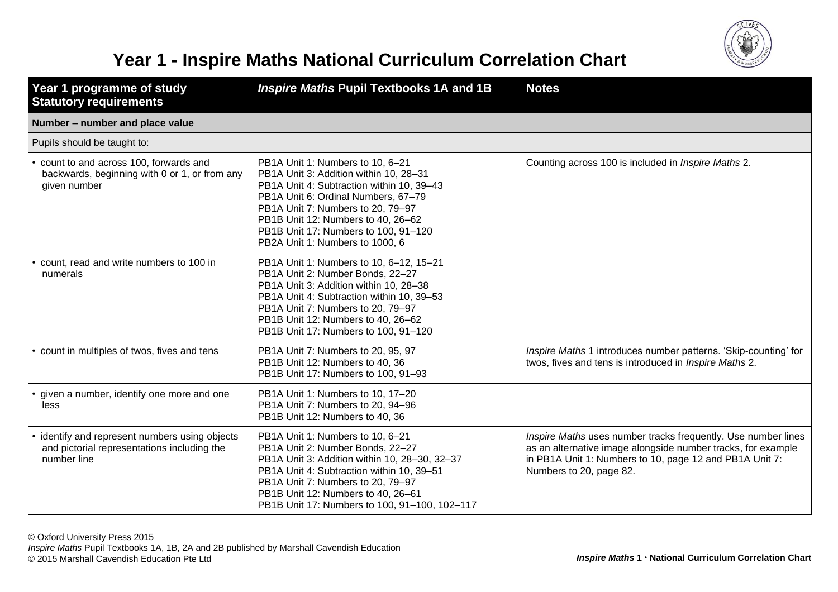

## **Year 1 - Inspire Maths National Curriculum Correlation Chart**

| Year 1 programme of study<br><b>Statutory requirements</b>                                                   | Inspire Maths Pupil Textbooks 1A and 1B                                                                                                                                                                                                                                                                              | <b>Notes</b>                                                                                                                                                                                                        |
|--------------------------------------------------------------------------------------------------------------|----------------------------------------------------------------------------------------------------------------------------------------------------------------------------------------------------------------------------------------------------------------------------------------------------------------------|---------------------------------------------------------------------------------------------------------------------------------------------------------------------------------------------------------------------|
| Number - number and place value                                                                              |                                                                                                                                                                                                                                                                                                                      |                                                                                                                                                                                                                     |
| Pupils should be taught to:                                                                                  |                                                                                                                                                                                                                                                                                                                      |                                                                                                                                                                                                                     |
| • count to and across 100, forwards and<br>backwards, beginning with 0 or 1, or from any<br>given number     | PB1A Unit 1: Numbers to 10, 6-21<br>PB1A Unit 3: Addition within 10, 28-31<br>PB1A Unit 4: Subtraction within 10, 39-43<br>PB1A Unit 6: Ordinal Numbers, 67-79<br>PB1A Unit 7: Numbers to 20, 79-97<br>PB1B Unit 12: Numbers to 40, 26-62<br>PB1B Unit 17: Numbers to 100, 91-120<br>PB2A Unit 1: Numbers to 1000, 6 | Counting across 100 is included in <i>Inspire Maths</i> 2.                                                                                                                                                          |
| count, read and write numbers to 100 in<br>numerals                                                          | PB1A Unit 1: Numbers to 10, 6-12, 15-21<br>PB1A Unit 2: Number Bonds, 22-27<br>PB1A Unit 3: Addition within 10, 28-38<br>PB1A Unit 4: Subtraction within 10, 39-53<br>PB1A Unit 7: Numbers to 20, 79-97<br>PB1B Unit 12: Numbers to 40, 26-62<br>PB1B Unit 17: Numbers to 100, 91-120                                |                                                                                                                                                                                                                     |
| • count in multiples of twos, fives and tens                                                                 | PB1A Unit 7: Numbers to 20, 95, 97<br>PB1B Unit 12: Numbers to 40, 36<br>PB1B Unit 17: Numbers to 100, 91-93                                                                                                                                                                                                         | Inspire Maths 1 introduces number patterns. 'Skip-counting' for<br>twos, fives and tens is introduced in Inspire Maths 2.                                                                                           |
| given a number, identify one more and one<br>less                                                            | PB1A Unit 1: Numbers to 10, 17-20<br>PB1A Unit 7: Numbers to 20, 94-96<br>PB1B Unit 12: Numbers to 40, 36                                                                                                                                                                                                            |                                                                                                                                                                                                                     |
| • identify and represent numbers using objects<br>and pictorial representations including the<br>number line | PB1A Unit 1: Numbers to 10, 6-21<br>PB1A Unit 2: Number Bonds, 22-27<br>PB1A Unit 3: Addition within 10, 28-30, 32-37<br>PB1A Unit 4: Subtraction within 10, 39-51<br>PB1A Unit 7: Numbers to 20, 79-97<br>PB1B Unit 12: Numbers to 40, 26-61<br>PB1B Unit 17: Numbers to 100, 91-100, 102-117                       | Inspire Maths uses number tracks frequently. Use number lines<br>as an alternative image alongside number tracks, for example<br>in PB1A Unit 1: Numbers to 10, page 12 and PB1A Unit 7:<br>Numbers to 20, page 82. |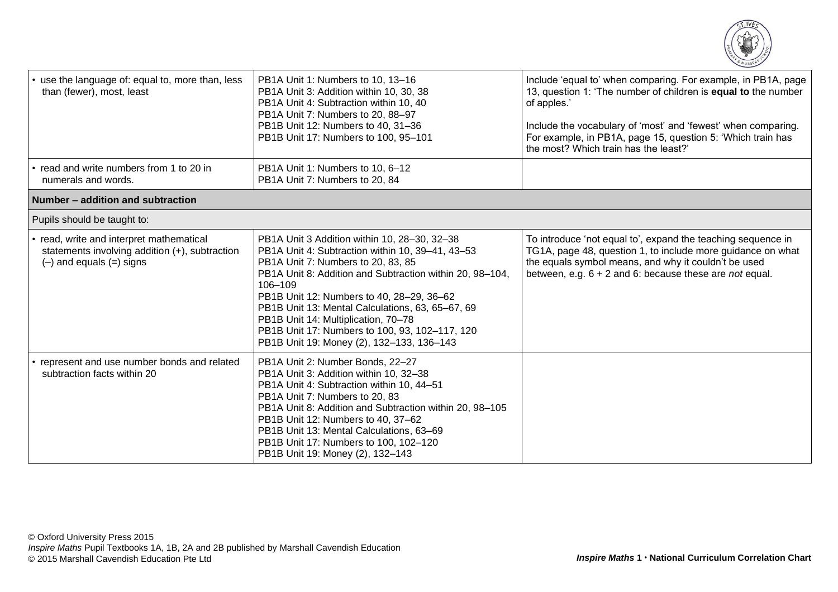

| • use the language of: equal to, more than, less<br>than (fewer), most, least                                              | PB1A Unit 1: Numbers to 10, 13-16<br>PB1A Unit 3: Addition within 10, 30, 38<br>PB1A Unit 4: Subtraction within 10, 40<br>PB1A Unit 7: Numbers to 20, 88-97<br>PB1B Unit 12: Numbers to 40, 31-36<br>PB1B Unit 17: Numbers to 100, 95-101                                                                                                                                                                                                            | Include 'equal to' when comparing. For example, in PB1A, page<br>13, question 1: 'The number of children is <b>equal to</b> the number<br>of apples.'<br>Include the vocabulary of 'most' and 'fewest' when comparing.<br>For example, in PB1A, page 15, question 5: 'Which train has<br>the most? Which train has the least?' |
|----------------------------------------------------------------------------------------------------------------------------|------------------------------------------------------------------------------------------------------------------------------------------------------------------------------------------------------------------------------------------------------------------------------------------------------------------------------------------------------------------------------------------------------------------------------------------------------|--------------------------------------------------------------------------------------------------------------------------------------------------------------------------------------------------------------------------------------------------------------------------------------------------------------------------------|
| • read and write numbers from 1 to 20 in<br>numerals and words.                                                            | PB1A Unit 1: Numbers to 10, 6-12<br>PB1A Unit 7: Numbers to 20, 84                                                                                                                                                                                                                                                                                                                                                                                   |                                                                                                                                                                                                                                                                                                                                |
| Number - addition and subtraction                                                                                          |                                                                                                                                                                                                                                                                                                                                                                                                                                                      |                                                                                                                                                                                                                                                                                                                                |
| Pupils should be taught to:                                                                                                |                                                                                                                                                                                                                                                                                                                                                                                                                                                      |                                                                                                                                                                                                                                                                                                                                |
| • read, write and interpret mathematical<br>statements involving addition (+), subtraction<br>$(-)$ and equals $(=)$ signs | PB1A Unit 3 Addition within 10, 28-30, 32-38<br>PB1A Unit 4: Subtraction within 10, 39-41, 43-53<br>PB1A Unit 7: Numbers to 20, 83, 85<br>PB1A Unit 8: Addition and Subtraction within 20, 98-104,<br>106-109<br>PB1B Unit 12: Numbers to 40, 28-29, 36-62<br>PB1B Unit 13: Mental Calculations, 63, 65-67, 69<br>PB1B Unit 14: Multiplication, 70-78<br>PB1B Unit 17: Numbers to 100, 93, 102-117, 120<br>PB1B Unit 19: Money (2), 132-133, 136-143 | To introduce 'not equal to', expand the teaching sequence in<br>TG1A, page 48, question 1, to include more guidance on what<br>the equals symbol means, and why it couldn't be used<br>between, e.g. $6 + 2$ and 6: because these are <i>not</i> equal.                                                                        |
| • represent and use number bonds and related<br>subtraction facts within 20                                                | PB1A Unit 2: Number Bonds, 22-27<br>PB1A Unit 3: Addition within 10, 32-38<br>PB1A Unit 4: Subtraction within 10, 44-51<br>PB1A Unit 7: Numbers to 20, 83<br>PB1A Unit 8: Addition and Subtraction within 20, 98-105<br>PB1B Unit 12: Numbers to 40, 37-62<br>PB1B Unit 13: Mental Calculations, 63-69<br>PB1B Unit 17: Numbers to 100, 102-120<br>PB1B Unit 19: Money (2), 132-143                                                                  |                                                                                                                                                                                                                                                                                                                                |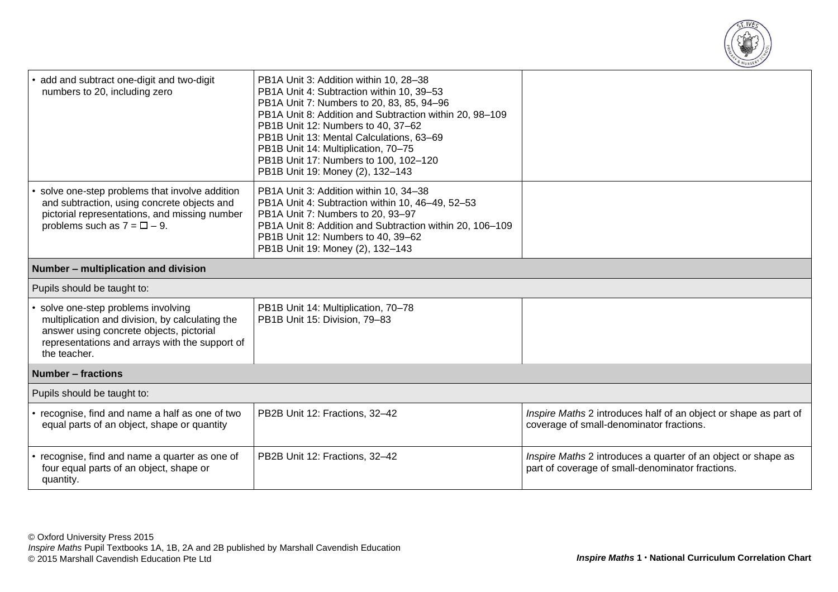

| add and subtract one-digit and two-digit<br>numbers to 20, including zero                                                                                                                            | PB1A Unit 3: Addition within 10, 28-38<br>PB1A Unit 4: Subtraction within 10, 39-53<br>PB1A Unit 7: Numbers to 20, 83, 85, 94-96<br>PB1A Unit 8: Addition and Subtraction within 20, 98-109<br>PB1B Unit 12: Numbers to 40, 37-62<br>PB1B Unit 13: Mental Calculations, 63-69<br>PB1B Unit 14: Multiplication, 70-75<br>PB1B Unit 17: Numbers to 100, 102-120<br>PB1B Unit 19: Money (2), 132-143 |                                                                                                                   |
|------------------------------------------------------------------------------------------------------------------------------------------------------------------------------------------------------|---------------------------------------------------------------------------------------------------------------------------------------------------------------------------------------------------------------------------------------------------------------------------------------------------------------------------------------------------------------------------------------------------|-------------------------------------------------------------------------------------------------------------------|
| • solve one-step problems that involve addition<br>and subtraction, using concrete objects and<br>pictorial representations, and missing number<br>problems such as $7 = \square - 9$ .              | PB1A Unit 3: Addition within 10, 34-38<br>PB1A Unit 4: Subtraction within 10, 46-49, 52-53<br>PB1A Unit 7: Numbers to 20, 93-97<br>PB1A Unit 8: Addition and Subtraction within 20, 106-109<br>PB1B Unit 12: Numbers to 40, 39-62<br>PB1B Unit 19: Money (2), 132-143                                                                                                                             |                                                                                                                   |
| Number - multiplication and division                                                                                                                                                                 |                                                                                                                                                                                                                                                                                                                                                                                                   |                                                                                                                   |
| Pupils should be taught to:                                                                                                                                                                          |                                                                                                                                                                                                                                                                                                                                                                                                   |                                                                                                                   |
| • solve one-step problems involving<br>multiplication and division, by calculating the<br>answer using concrete objects, pictorial<br>representations and arrays with the support of<br>the teacher. | PB1B Unit 14: Multiplication, 70-78<br>PB1B Unit 15: Division, 79-83                                                                                                                                                                                                                                                                                                                              |                                                                                                                   |
| Number – fractions                                                                                                                                                                                   |                                                                                                                                                                                                                                                                                                                                                                                                   |                                                                                                                   |
| Pupils should be taught to:                                                                                                                                                                          |                                                                                                                                                                                                                                                                                                                                                                                                   |                                                                                                                   |
| • recognise, find and name a half as one of two<br>equal parts of an object, shape or quantity                                                                                                       | PB2B Unit 12: Fractions, 32-42                                                                                                                                                                                                                                                                                                                                                                    | Inspire Maths 2 introduces half of an object or shape as part of<br>coverage of small-denominator fractions.      |
| • recognise, find and name a quarter as one of<br>four equal parts of an object, shape or<br>quantity.                                                                                               | PB2B Unit 12: Fractions, 32-42                                                                                                                                                                                                                                                                                                                                                                    | Inspire Maths 2 introduces a quarter of an object or shape as<br>part of coverage of small-denominator fractions. |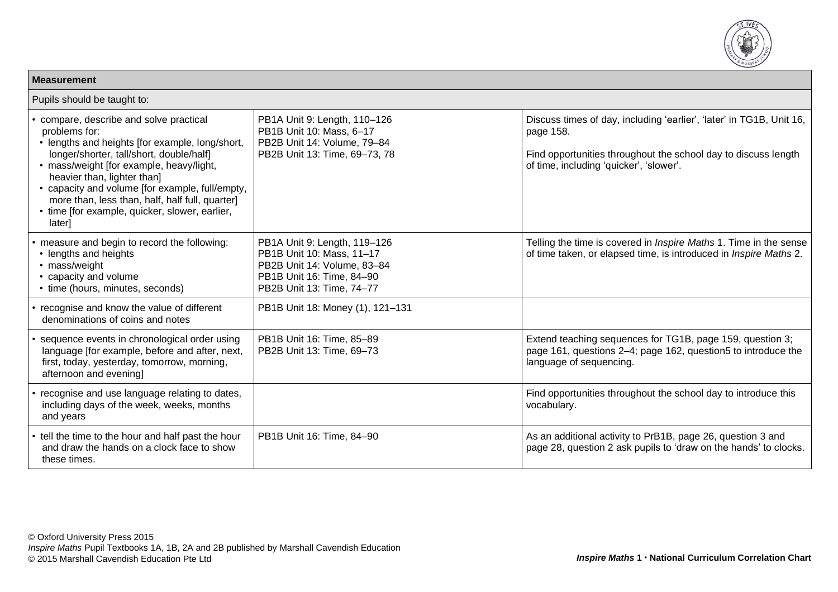

| <b>Measurement</b>                                                                                                                                                                                                                                                                                                                                                                                 |                                                                                                                                                    |                                                                                                                                                                                                |
|----------------------------------------------------------------------------------------------------------------------------------------------------------------------------------------------------------------------------------------------------------------------------------------------------------------------------------------------------------------------------------------------------|----------------------------------------------------------------------------------------------------------------------------------------------------|------------------------------------------------------------------------------------------------------------------------------------------------------------------------------------------------|
| Pupils should be taught to:                                                                                                                                                                                                                                                                                                                                                                        |                                                                                                                                                    |                                                                                                                                                                                                |
| compare, describe and solve practical<br>problems for:<br>• lengths and heights [for example, long/short,<br>longer/shorter, tall/short, double/half]<br>• mass/weight [for example, heavy/light,<br>heavier than, lighter than]<br>• capacity and volume [for example, full/empty,<br>more than, less than, half, half full, quarter]<br>• time [for example, quicker, slower, earlier,<br>later] | PB1A Unit 9: Length, 110-126<br>PB1B Unit 10: Mass, 6-17<br>PB2B Unit 14: Volume, 79-84<br>PB2B Unit 13: Time, 69-73, 78                           | Discuss times of day, including 'earlier', 'later' in TG1B, Unit 16,<br>page 158.<br>Find opportunities throughout the school day to discuss length<br>of time, including 'quicker', 'slower'. |
| measure and begin to record the following:<br>• lengths and heights<br>• mass/weight<br>• capacity and volume<br>• time (hours, minutes, seconds)                                                                                                                                                                                                                                                  | PB1A Unit 9: Length, 119-126<br>PB1B Unit 10: Mass, 11-17<br>PB2B Unit 14: Volume, 83-84<br>PB1B Unit 16: Time, 84-90<br>PB2B Unit 13: Time, 74-77 | Telling the time is covered in <i>Inspire Maths</i> 1. Time in the sense<br>of time taken, or elapsed time, is introduced in <i>Inspire Maths</i> 2.                                           |
| recognise and know the value of different<br>denominations of coins and notes                                                                                                                                                                                                                                                                                                                      | PB1B Unit 18: Money (1), 121-131                                                                                                                   |                                                                                                                                                                                                |
| sequence events in chronological order using<br>language [for example, before and after, next,<br>first, today, yesterday, tomorrow, morning,<br>afternoon and evening]                                                                                                                                                                                                                            | PB1B Unit 16: Time, 85-89<br>PB2B Unit 13: Time, 69-73                                                                                             | Extend teaching sequences for TG1B, page 159, question 3;<br>page 161, questions 2-4; page 162, question5 to introduce the<br>language of sequencing.                                          |
| recognise and use language relating to dates,<br>including days of the week, weeks, months<br>and years                                                                                                                                                                                                                                                                                            |                                                                                                                                                    | Find opportunities throughout the school day to introduce this<br>vocabulary.                                                                                                                  |
| • tell the time to the hour and half past the hour<br>and draw the hands on a clock face to show<br>these times.                                                                                                                                                                                                                                                                                   | PB1B Unit 16: Time, 84-90                                                                                                                          | As an additional activity to PrB1B, page 26, question 3 and<br>page 28, question 2 ask pupils to 'draw on the hands' to clocks.                                                                |

**Measurement**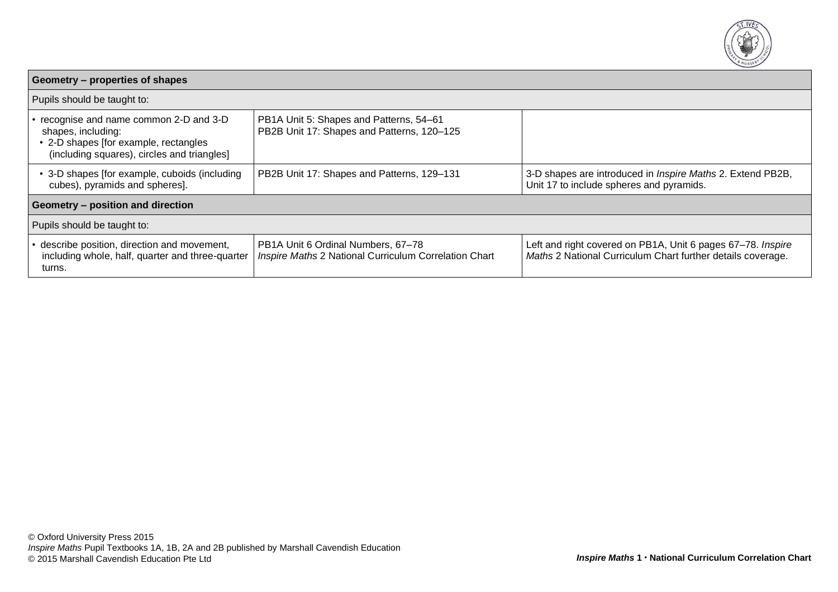

| Geometry – properties of shapes                                                                                                                     |                                                                                             |                                                                                                                            |  |  |
|-----------------------------------------------------------------------------------------------------------------------------------------------------|---------------------------------------------------------------------------------------------|----------------------------------------------------------------------------------------------------------------------------|--|--|
| Pupils should be taught to:                                                                                                                         |                                                                                             |                                                                                                                            |  |  |
| recognise and name common 2-D and 3-D<br>shapes, including:<br>• 2-D shapes [for example, rectangles<br>(including squares), circles and triangles] | PB1A Unit 5: Shapes and Patterns, 54-61<br>PB2B Unit 17: Shapes and Patterns, 120-125       |                                                                                                                            |  |  |
| • 3-D shapes [for example, cuboids (including<br>cubes), pyramids and spheres].                                                                     | PB2B Unit 17: Shapes and Patterns, 129-131                                                  | 3-D shapes are introduced in <i>Inspire Maths</i> 2. Extend PB2B,<br>Unit 17 to include spheres and pyramids.              |  |  |
| Geometry - position and direction                                                                                                                   |                                                                                             |                                                                                                                            |  |  |
| Pupils should be taught to:                                                                                                                         |                                                                                             |                                                                                                                            |  |  |
| describe position, direction and movement,<br>including whole, half, quarter and three-quarter<br>turns.                                            | PB1A Unit 6 Ordinal Numbers, 67-78<br>Inspire Maths 2 National Curriculum Correlation Chart | Left and right covered on PB1A, Unit 6 pages 67-78. Inspire<br>Maths 2 National Curriculum Chart further details coverage. |  |  |